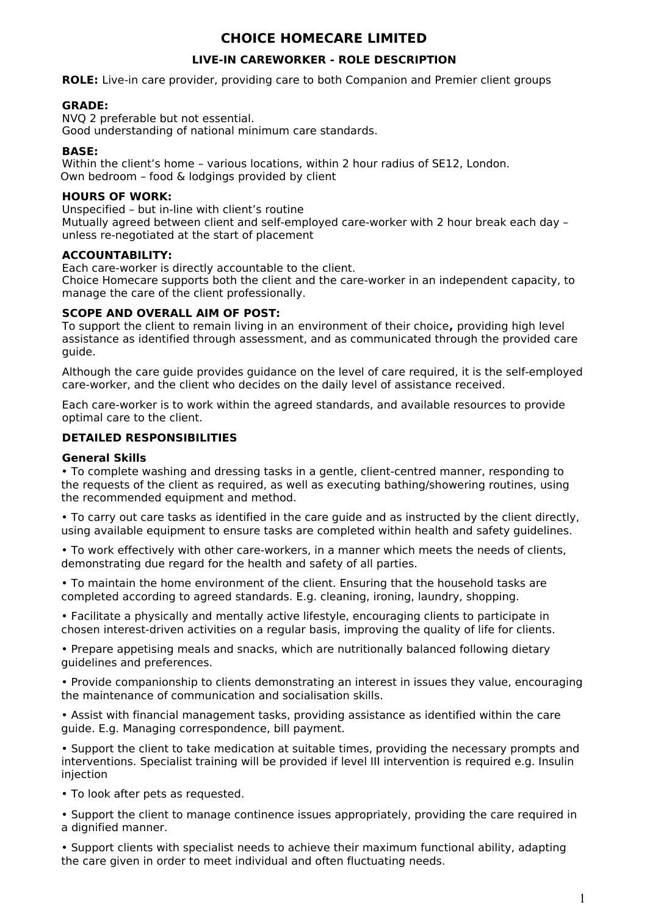# **CHOICE HOMECARE LIMITED**

## **LIVE-IN CAREWORKER - ROLE DESCRIPTION**

**ROLE:** Live-in care provider, providing care to both Companion and Premier client groups

## **GRADE:**

NVQ 2 preferable but not essential. Good understanding of national minimum care standards.

### **BASE:**

Within the client's home – various locations, within 2 hour radius of SE12, London. Own bedroom – food & lodgings provided by client

#### **HOURS OF WORK:**

Unspecified – but in-line with client's routine Mutually agreed between client and self-employed care-worker with 2 hour break each day – unless re-negotiated at the start of placement

## **ACCOUNTABILITY:**

Each care-worker is directly accountable to the client. Choice Homecare supports both the client and the care-worker in an independent capacity, to manage the care of the client professionally.

## **SCOPE AND OVERALL AIM OF POST:**

To support the client to remain living in an environment of their choice**,** providing high level assistance as identified through assessment, and as communicated through the provided care guide.

Although the care guide provides guidance on the level of care required, it is the self-employed care-worker, and the client who decides on the daily level of assistance received.

Each care-worker is to work within the agreed standards, and available resources to provide optimal care to the client.

## **DETAILED RESPONSIBILITIES**

#### **General Skills**

• To complete washing and dressing tasks in a gentle, client-centred manner, responding to the requests of the client as required, as well as executing bathing/showering routines, using the recommended equipment and method.

• To carry out care tasks as identified in the care guide and as instructed by the client directly, using available equipment to ensure tasks are completed within health and safety guidelines.

• To work effectively with other care-workers, in a manner which meets the needs of clients, demonstrating due regard for the health and safety of all parties.

• To maintain the home environment of the client. Ensuring that the household tasks are completed according to agreed standards. E.g. cleaning, ironing, laundry, shopping.

• Facilitate a physically and mentally active lifestyle, encouraging clients to participate in chosen interest-driven activities on a regular basis, improving the quality of life for clients.

• Prepare appetising meals and snacks, which are nutritionally balanced following dietary guidelines and preferences.

• Provide companionship to clients demonstrating an interest in issues they value, encouraging the maintenance of communication and socialisation skills.

• Assist with financial management tasks, providing assistance as identified within the care guide. E.g. Managing correspondence, bill payment.

• Support the client to take medication at suitable times, providing the necessary prompts and interventions. Specialist training will be provided if level III intervention is required e.g. Insulin injection

• To look after pets as requested.

• Support the client to manage continence issues appropriately, providing the care required in a dignified manner.

• Support clients with specialist needs to achieve their maximum functional ability, adapting the care given in order to meet individual and often fluctuating needs.